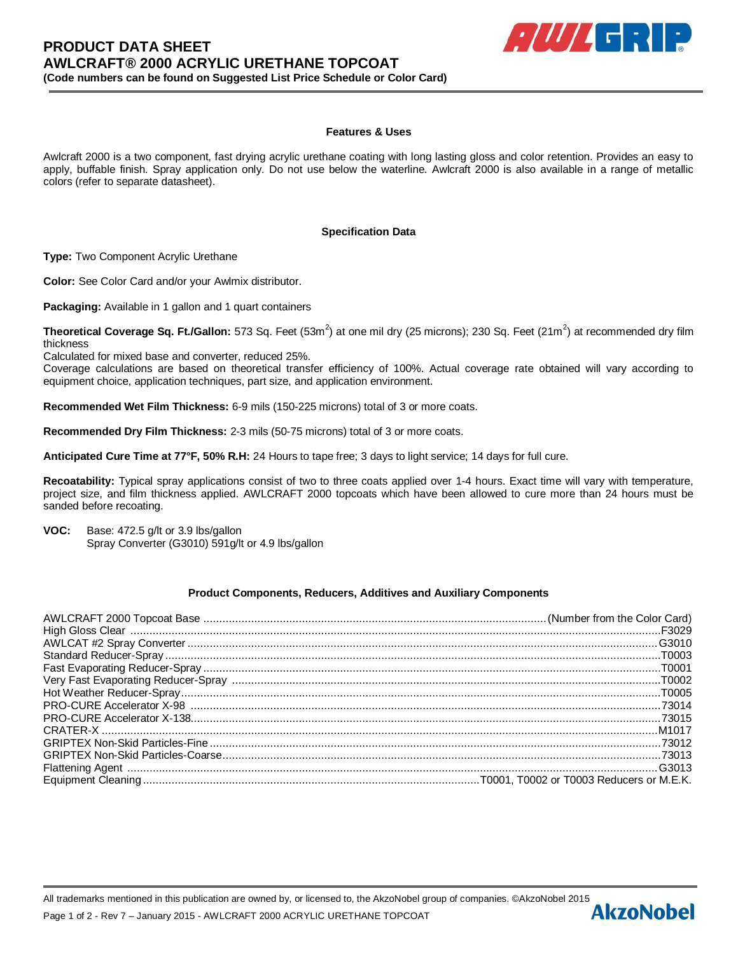

## **Features & Uses**

Awlcraft 2000 is a two component, fast drying acrylic urethane coating with long lasting gloss and color retention. Provides an easy to apply, buffable finish. Spray application only. Do not use below the waterline. Awlcraft 2000 is also available in a range of metallic colors (refer to separate datasheet).

#### **Specification Data**

**Type:** Two Component Acrylic Urethane

**Color:** See Color Card and/or your Awlmix distributor.

**Packaging:** Available in 1 gallon and 1 quart containers

**Theoretical Coverage Sq. Ft./Gallon:** 573 Sq. Feet (53m<sup>2</sup>) at one mil dry (25 microns); 230 Sq. Feet (21m<sup>2</sup>) at recommended dry film thickness

Calculated for mixed base and converter, reduced 25%.

Coverage calculations are based on theoretical transfer efficiency of 100%. Actual coverage rate obtained will vary according to equipment choice, application techniques, part size, and application environment.

**Recommended Wet Film Thickness:** 6-9 mils (150-225 microns) total of 3 or more coats.

**Recommended Dry Film Thickness:** 2-3 mils (50-75 microns) total of 3 or more coats.

**Anticipated Cure Time at 77°F, 50% R.H:** 24 Hours to tape free; 3 days to light service; 14 days for full cure.

**Recoatability:** Typical spray applications consist of two to three coats applied over 1-4 hours. Exact time will vary with temperature, project size, and film thickness applied. AWLCRAFT 2000 topcoats which have been allowed to cure more than 24 hours must be sanded before recoating.

**VOC:** Base: 472.5 g/lt or 3.9 lbs/gallon Spray Converter (G3010) 591g/lt or 4.9 lbs/gallon

#### **Product Components, Reducers, Additives and Auxiliary Components**